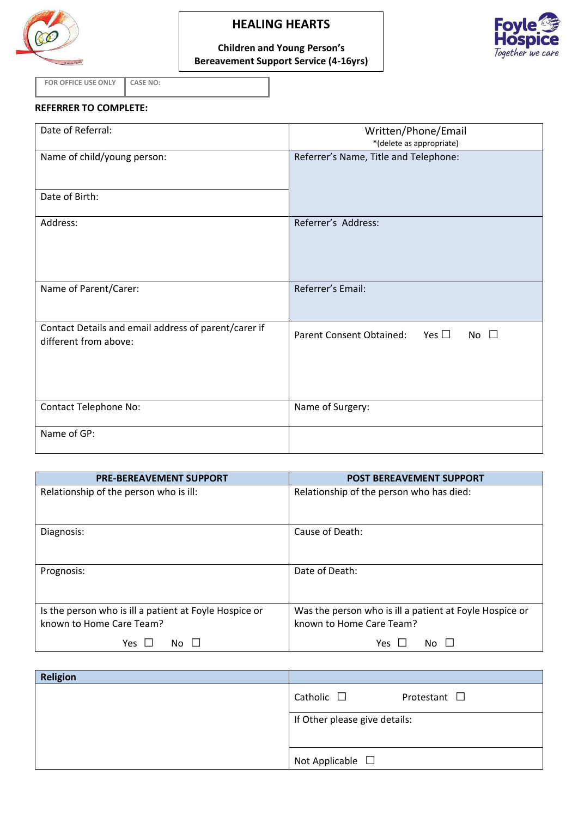

## **HEALING HEARTS**

**Children and Young Person's Bereavement Support Service (4-16yrs)**



**FOR OFFICE USE ONLY CASE NO:**

**REFERRER TO COMPLETE:**

| Date of Referral:                                                             | Written/Phone/Email                                    |
|-------------------------------------------------------------------------------|--------------------------------------------------------|
|                                                                               | *(delete as appropriate)                               |
| Name of child/young person:                                                   | Referrer's Name, Title and Telephone:                  |
| Date of Birth:                                                                |                                                        |
| Address:                                                                      | Referrer's Address:                                    |
| Name of Parent/Carer:                                                         | Referrer's Email:                                      |
| Contact Details and email address of parent/carer if<br>different from above: | Yes $\Box$<br>Parent Consent Obtained:<br>No $\square$ |
| <b>Contact Telephone No:</b>                                                  | Name of Surgery:                                       |
| Name of GP:                                                                   |                                                        |

| <b>PRE-BEREAVEMENT SUPPORT</b>                                                     | <b>POST BEREAVEMENT SUPPORT</b>                                                     |
|------------------------------------------------------------------------------------|-------------------------------------------------------------------------------------|
| Relationship of the person who is ill:                                             | Relationship of the person who has died:                                            |
| Diagnosis:                                                                         | Cause of Death:                                                                     |
| Prognosis:                                                                         | Date of Death:                                                                      |
| Is the person who is ill a patient at Foyle Hospice or<br>known to Home Care Team? | Was the person who is ill a patient at Foyle Hospice or<br>known to Home Care Team? |
| Yes<br>N٥                                                                          | Yes<br>No.                                                                          |

| <b>Religion</b> |                                         |
|-----------------|-----------------------------------------|
|                 | Catholic $\Box$<br>Protestant $\square$ |
|                 | If Other please give details:           |
|                 |                                         |
|                 | Not Applicable $\Box$                   |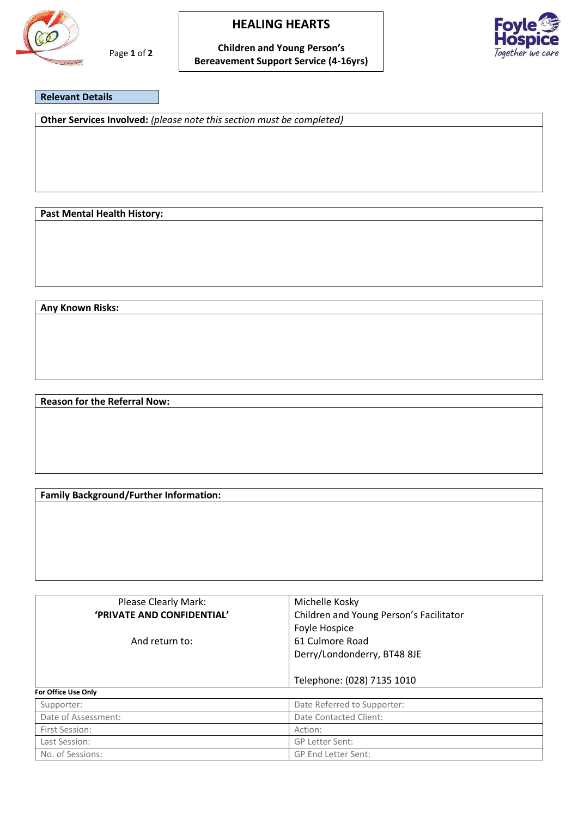

Page **1** of **2**

## **HEALING HEARTS**

**Children and Young Person's Bereavement Support Service (4-16yrs)**



**Relevant Details**

**Other Services Involved:** *(please note this section must be completed)*

**Past Mental Health History:**

**Any Known Risks:**

**Reason for the Referral Now:**

**Family Background/Further Information:**

| Please Clearly Mark:<br>'PRIVATE AND CONFIDENTIAL'<br>And return to: | Michelle Kosky<br>Children and Young Person's Facilitator<br>Foyle Hospice<br>61 Culmore Road<br>Derry/Londonderry, BT48 8JE |
|----------------------------------------------------------------------|------------------------------------------------------------------------------------------------------------------------------|
|                                                                      | Telephone: (028) 7135 1010                                                                                                   |
| For Office Use Only                                                  |                                                                                                                              |
| Supporter:                                                           | Date Referred to Supporter:                                                                                                  |
| Date of Assessment:                                                  | Date Contacted Client:                                                                                                       |
| First Session:                                                       | Action:                                                                                                                      |
| Last Session:                                                        | <b>GP Letter Sent:</b>                                                                                                       |
| No. of Sessions:                                                     | GP End Letter Sent:                                                                                                          |